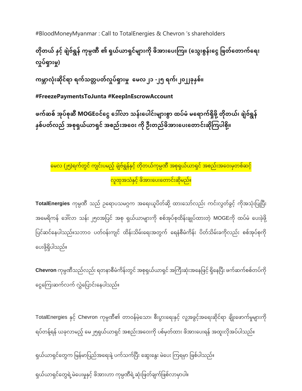#BloodMoneyMyanmar : Call to TotalEnergies & Chevron 's shareholders

# တိုတယ် နှင့် ချဲဗ်ရွန် ကုမ္ပဏီ ၏ ရှယ်ယာရှင်များကို ဖိအားပေးကြ။ (သွေးစွန်းငွေ ဖြတ်တောက်ရေး **လှု ်ရှာျားမ္ှု)**

ကမ္ဘာလုံးဆိုင်ရာ ရက်သတ္တပတ်လှုပ်ရှားမှု မေလ၂၁ -၂၅ ရက်၊၂၀၂၂ခုနှစ်။

**#FreezePaymentsToJunta #KeepInEscrowAccount**

ဖက်ဆစ် အုပ်စုဆီ MOGEoင်ငွေ ဒေါ်လာ သန်းပေါင်းများစွာ ထပ်မံ မရောက်ရှိဖို့ တိုတယ်၊ ချဲဗ်ရွန် နှစ်ပတ်လည် အစုရှယ်ယာရှင် အစည်းအဝေး ကို ဦးတည်ဖိအားပေးတောင်းဆိုကြပါစို့။

မေလ (၂၅)ရက်တွင် ကျင်းပမည့် ချဲဗ်ရွန်နှင့် တိုတယ်ကုမ္ပဏီ အစုရှယ်ယာရှင် အစည်းအဝေးမှတစ်ဆင့် <mark>လူထုအသံနှင့် ဖိအားပေးတောင်းဆိုမည်။</mark>

**TotalEnergies** ကုမ္ပဏီ သည် ဥရောပသမဂ္ဂက အရေးယူပိတ်ဆို့ ထားသော်လည်း ကင်းလွတ်ခွင့် ကိုအသုံးပြုပြီး အမေရိကန် ဒေါ်လာ သန်း ၂၅၀အပြင် အစု ရှယ်ယာများကို စစ်အုပ်စုထိန်းချုပ်ထားတဲ့ MOGEကို ထပ်မံ ပေးခဲ့ဖို့ ပြင်ဆင်နေပါသည်။သဘာဝ ပတ်ဝန်းကျင် ထိန်းသိမ်းရေးအတွက် ရေနံစီမံကိန်း ပိတ်သိမ်းခကိုလည်း စစ်အုပ်စုကို ပေးဖို့ရှိပါသည်။

**Chevron** ကုမ္ပဏီသည်လည်း ရတနာစီမံကိန်းတွင် အစုရှယ်ယာရှင် အကြီးဆုံးအနေဖြင့် ရှိနေပြီး ဖက်ဆက်စစ်တပ်ကို ငွေကြေးဆက်လက် လွှဲပြောင်းနေပါသည်။

TotalEnergies နှင့် Chevron ကုမ္ပဏီ၏ တာဝန်မဲ့သော၊ စီးပွားရေးနှင့် လူ့အခွင့်အရေးဆိုင်ရာ ချိုးဖောက်မှုများကို ရပ်တန့်ရန် ယခုလာမည့် မေ၂၅ရှယ်ယာရှင် အစည်းအဝေးကို ပစ်မှတ်ထား ဖိအားပေးရန် အထူးလိုအပ်ပါသည်။

ရှယ်ယာရှင်တွေက မြန်မာပြည်အရေးနဲ့ ပက်သက်ပြီး ဆွေးနွေး မဲပေး ကြရမှာ ဖြစ်ပါသည်။ ရှယ်ယာရှင်တွေရဲ့မဲပေးမှုနှင့် ဖိအားဟာ ကုမ္ပဏီရဲ့ဆုံးဖြတ်ချက်ဖြစ်လာမှာပါ။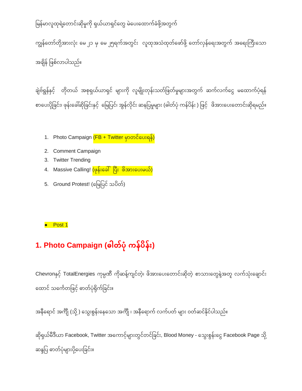## မြန်မာလူထုရဲ့တောင်းဆိုမှုကို ရှယ်ယာရှင်တွေ မဲပေးထောက်ခံဖို့အတွက်

ကျွန်တော်တို့အားလုံး မေ ၂၁ မှ မေ ၂၅ရက်အတွင်း လူထုအသံထုတ်ဖော်ဖို့ တော်လှန်ရေးအတွက် အရေးကြီးသော အချိန် ဖြစ်လာပါသည်။

ချဲဗ်ရွန်နှင့် တိုတယ် အစုရှယ်ယာရှင် များကို လူမျိုးတုန်းသတ်ဖြတ်မှုများအတွက် ဆက်လက်ငွေ မထောက်ပံ့ရန် စာပေးပိုခြင်း၊ ဖုန်းခေါ်ဆိုခြင်းနှင့် မြေပြင်၊ အွန်လိုင်း ဆနပြမှုများ (ဓါတ်ပုံ ကန်ပိန်း ) ဖြင့် ဖိအားပေးတောင်းဆိုရမည်။

- 1. Photo Campaign <mark>(FB + Twitter မှာတင်ပေးရန်)</mark>
- 2. Comment Campaign
- 3. Twitter Trending
- 4. Massive Calling! <mark>(ဖုန်းခေါ် ပြီး ဖိအားပေးမယ်)</mark>
- 5. Ground Protest! (မြေပြင် သပိတ်)

### ● Post 1

# **1. Photo Campaign (ဓါတ္်ပ ိုကန်ပ န်ုံး)**

Chevronနှင့် TotalEnergies ကုမ္ပဏီ ကိုဆန့်ကျင်တဲ့၊ ဖိအားပေးတောင်းဆိုတဲ့ စာသားတွေနဲ့အတူ လက်သုံးချောင်း ထောင် သင်္ကေတဖြင့် ဓာတ်ပုံရိုက်ခြင်း။

အနီရောင် အက်ိုု (သို့ ) သွေးစွန်းနေသော အက်ိုု ၊ အနီရောက် လက်ပတ် များ ဝတ်ဆင်နိုင်ပါသည်။

ဆိုရှယ်မီဒီယာ Facebook, Twitter အကောင့်များတွင်တင်ခြင်း, Blood Money - သွေးစွန်းငွေ Facebook Page သို့ ဆန္ဒပြ ဓာတ်ပုံများပို့ပေးခြင်း။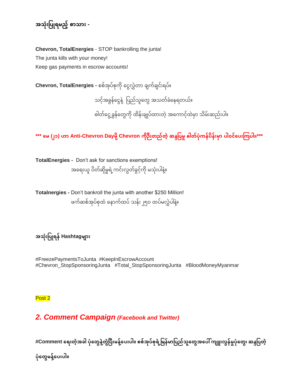# **အသ ိုုံးပပြုရမ္ည ်စာသာုံး -**

**Chevron, TotalEnergies** - STOP bankrolling the junta! The junta kills with your money! Keep gas payments in escrow accounts!

**Chevron, TotalEnergies -** စစ်အုပ်စုကို ငွေလွှဲတာ ချက်ချင်းရပ်။ သင့်အခွန်ငွေနဲ့ ပြည်သူတွေ အသတ်ခံနေရတယ်။ ဓါတ်ငွေ့ ခွန်တွေကို ထိန်းချုပ်ထားတဲ့ အကောင့်ထဲမှာ သိမ်းဆည်းပါ။

**\*\*\* မမ္ (၂၁) ဟာ Anti-Chevron Dayမ္ ို Chevron က ိုဉ ုံးတ္ည်တ္ ဆနဒပပမ္ှုဓါတ္်ပ ိုကန်ပ န်ုံးမ္ ာ ပါဝင်မပုံးကကပါ။\*\*\***

**TotalEnergies -** Don't ask for sanctions exemptions! အရေးယူ ပိတ်ဆို့မှုရဲ့ကင်းလွတ်ခွင့်ကို မသုံးပါနဲ့။

**Totalnergies -** Don't bankroll the junta with another \$250 Million! ဖက်ဆစ်အုပ်စုထံ နောက်ထပ် သန်း ၂၅ဝ ထပ်မလွှဲပါနဲ့။

**အသ ိုုံးပပြုရန်Hashtagမ္ ာုံး**

#FreezePaymentsToJunta #KeepInEscrowAccount #Chevron\_StopSponsoringJunta #Total\_StopSponsoringJunta #BloodMoneyMyanmar

Post 2

## *2. Comment Campaign (Facebook and Twitter)*

#Comment ရေးတဲ့အခါ ပုံတွေနဲ့တွဲပြီးမန့်ပေးပါ။ စစ်အုပ်စုရဲ့မြန်မာပြည်သူတွေအပေါ် ကျူးလွန်မှုပုံတွေ၊ ဆန္ဒပြတဲ့

ပုံတွေမနဲ့ပေးပါ။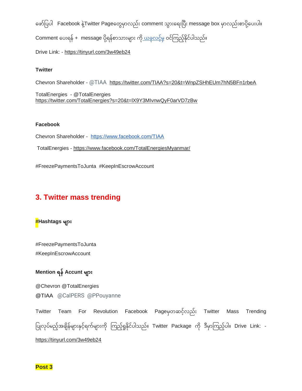ဖော်ပြပါ Facebook နဲ့Twitter Pageတွေမှာလည်း comment သွားရေးပြီး message box မှာလည်းစာပို့ပေးပါ။ Comment ပေးရန် + message ပို့ရန်စာသားများ ကိ<u>ု ယခုလင့်မှ</u> ဝင်ကြည့်နိုင်ပါသည်။

Drive Link: - <https://tinyurl.com/3w49eb24>

### **Twitter**

Chevron Shareholder - @TIAA <https://twitter.com/TIAA?s=20&t=WnpZSHhEUm7hN5BFn1rbeA>

TotalEnergies - @TotalEnergies <https://twitter.com/TotalEnergies?s=20&t=lX9Y3MIvnwQyF0arVD7zBw>

#### **Facebook**

Chevron Shareholder - <https://www.facebook.com/TIAA>

TotalEnergies - <https://www.facebook.com/TotalEnergiesMyanmar/>

#FreezePaymentsToJunta #KeepInEscrowAccount

## **3. Twitter mass trending**

### **#Hashtags များ**

#FreezePaymentsToJunta #KeepInEscrowAccount

## **Mention ရန်Accunt မ္ ာုံး**

@Chevron @TotalEnergies @TIAA @CalPERS @PPouyanne

Twitter Team For Revolution Facebook Pageမှတဆင့်လည်း Twitter Mass Trending ပြုလုပ်မည့်အချိန်များနှင့်ရက်များကို ကြည့်ရှုနိုင်ပါသည်။ Twitter Package ကို ဒီမှာကြည့်ပါ။ Drive Link: <https://tinyurl.com/3w49eb24>

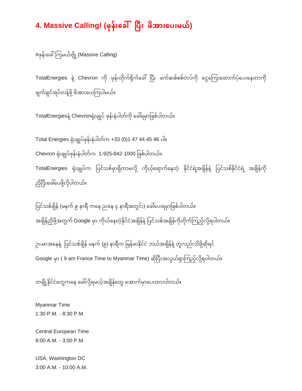## **4. Massive Calling! (ဖိုန်ုံးမခေါ် ပပ ုံး ဖ အာုံးမပုံးမ္ယ်)**

 $\#$ ဖုန်းခေါ်ကြမယ်ဗျို့ (Massive Calling)

TotalEnergies နဲ့ Chevron ကို ဖုန်းတိုက်ရိုက်ခေါ်ပြီး ဖက်ဆစ်စစ်တပ်ကို ငွေကြေးထောက်ပံ့ပေးနေတာကို ချက်ချင်းရပ်တန့်ဖို့ ဖိအားပေးကြပါမယ်။

TotalEnergiesနဲ့ Chevronရုံးချုပ် ဖုန်းနံပါတ်ကို ခေါ်ရမှာဖြစ်ပါတယ်။

Total Energies ရံို်းချြုပ်ဖိုန််းနံပါတ်က +33 (0)1 47 44 45 46 ပါ။ Chevron ရံို်းချြုပ်ဖိုန််းနံပါတ်က 1-925-842-1000 ပဖစ်ပါတယ်။ TotalEnergies ရုံးချုပ်က ပြင်သစ်မှာရှိတာမလို့ ကိုယ့်ရောက်နေတဲ့ နိုင်ငံရဲ့အချိန်နဲ့ ပြင်သစ်နိုင်ငံရဲ့ အချိန်ကို ညိုပြီးခေါ်ပေဖို့လိုပါတယ်။

ပြင်သစ်ချိန် (မနက် ၉ နာရီ ကနေ ညနေ ၄ နာရီအတွင်း) ခေါ်ပေးရမှာဖြစ်ပါတယ်။ အချိန်ညှိဖို့အတွက် Google မှာ ကိုယ်နေတဲ့နိုင်ငံအချိန်နဲ့ ပြင်သစ်အချိန်ကိုတိုက်ကြည့်လို့ရပါတယ်။  $\frac{1}{2}$ 

အချိန်ညှိဖို့အတွက် Google မှာ ကိုယ်နေတဲ့နိုင်ငံအချိန်နဲ့ ပြင်သစ်အချိန်ကိုတိုက်ကြည့်လို့ရပါတယ်။<br><br>ဥပမာအနေနဲ့ ပြင်သစ်ချိန် မနက် (၉) နာရီက မြန်မာနိုင်ငံ ဘယ်အချိန်နဲ့ တူလည်းသိဖို့ဆိုရင် Google မှာ ( 9 am France Time to Myanmar Time) ဆိုပြီးအလွယ်ရှာကြည့်လို့ရပါတယ်။

တချို့နိုင်ငံတွေကနေ ခေါ်လို့ရမယ့်အချိန်တွေ အောက်မှာပေးထားပါတယ်။

Myanmar Time 1:30 P.M. - 8:30 P.M.

Central European Time 8:00 A.M. - 3:00 P.M.

USA, Washington DC 3:00 A.M. - 10:00 A.M.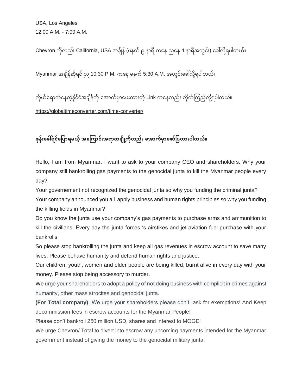USA, Los Angeles 12:00 A.M. - 7:00 A.M.

Chevron ကိုလည်း California, USA အချိန် (မနက် ၉ နာရီ ကနေ ညနေ 4 နာရီအတွင်း) ခေါ်လို့ရပါတယ်။

Myanmar အချိန်ဆိုရင် ည 10:30 P.M. ကနေ မနက် 5:30 A.M. အတွင်းခေါ်လို့ရပါတယ်။

Myanmar အချိန်ဆိုရင် ည 10:30 P.M. ကနေ မနက် 5:30 A.M. အတွင်းခေါလို့ရပါတယ်။<br>ကိုယ်ရောက်နေတဲ့နိုင်ငံအချိန်ကို အောက်မှာပေးထားတဲ့ Link ကနေလည်း တိုက်ကြည့်လို့ရပါတယ်။

<https://globaltimeconverter.com/time-converter/>

ဖုန်းခေါ်ရင်ပြောရမယ့် အကြောင်းအရာတချို့ကိုလည်း အောက်မှာဖော်ပြထားပါတယ်။

Hello, I am from Myanmar. I want to ask to your company CEO and shareholders. Why your company still bankrolling gas payments to the genocidal junta to kill the Myanmar people every day?

Your governement not recognized the genocidal junta so why you funding the criminal junta?

Your company announced you all apply business and human rights principles so why you funding the killing fields in Myanmar?

Do you know the junta use your company's gas payments to purchase arms and ammunition to kill the civilians. Every day the junta forces 's airstikes and jet aviation fuel purchase with your bankrolls.

So please stop bankrolling the junta and keep all gas revenues in escrow account to save many lives. Please behave humanity and defend human rights and justice.

Our children, youth, women and elder people are being killed, burnt alive in every day with your money. Please stop being accessory to murder.

We urge your shareholders to adopt a policy of not doing business with complicit in crimes against humanity, other mass atrocites and genocidal junta.

**(For Total company)** We urge your shareholders please don't ask for exemptions! And Keep decommission fees in escrow accounts for the Myanmar People!

Please don't bankroll 250 million USD, shares and interest to MOGE!

We urge Chevron/ Total to divert into escrow any upcoming payments intended for the Myanmar government instead of giving the money to the genocidal military junta.